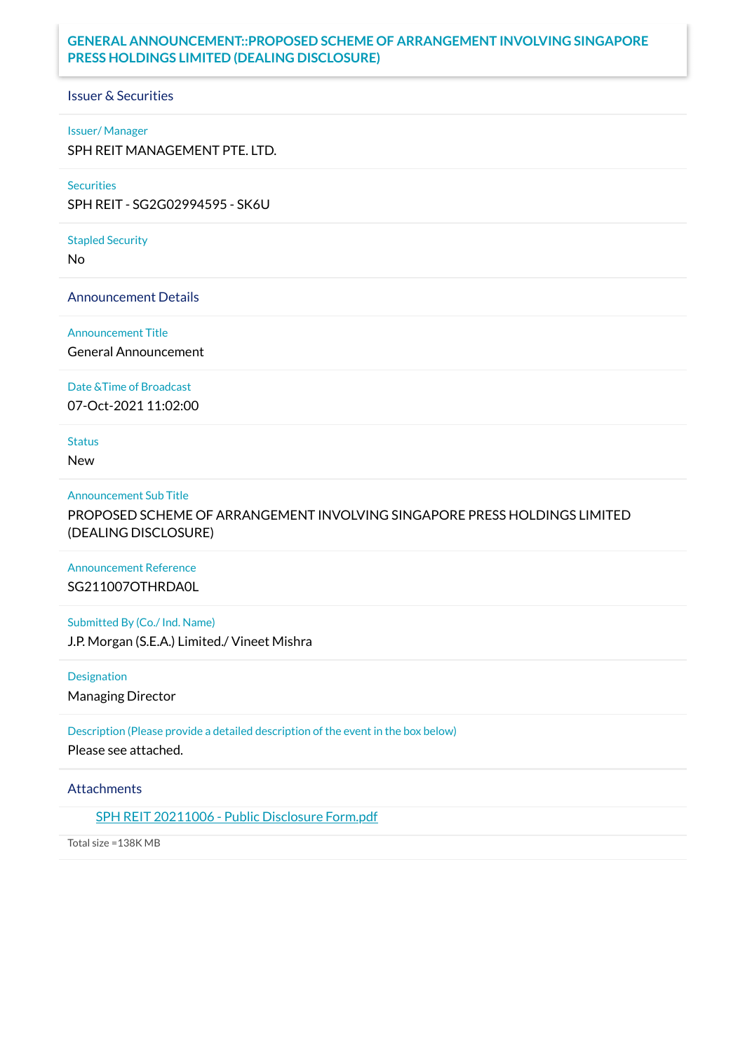## **GENERAL ANNOUNCEMENT::PROPOSED SCHEME OF ARRANGEMENT INVOLVING SINGAPORE PRESS HOLDINGS LIMITED (DEALING DISCLOSURE)**

Issuer & Securities

### Issuer/ Manager

SPH REIT MANAGEMENT PTE. LTD.

#### **Securities**

SPH REIT - SG2G02994595 - SK6U

# Stapled Security

No

### Announcement Details

#### Announcement Title

General Announcement

### Date &Time of Broadcast

07-Oct-2021 11:02:00

## **Status**

New

#### Announcement Sub Title

PROPOSED SCHEME OF ARRANGEMENT INVOLVING SINGAPORE PRESS HOLDINGS LIMITED (DEALING DISCLOSURE)

## Announcement Reference SG211007OTHRDA0L

# Submitted By (Co./ Ind. Name)

J.P. Morgan (S.E.A.) Limited./ Vineet Mishra

## Designation

Managing Director

## Description (Please provide a detailed description of the event in the box below) Please see attached.

### **Attachments**

## SPH REIT [20211006](https://links.sgx.com/1.0.0/corporate-announcements/C8EUDS31HLE77QGH/685969_SPH%20REIT%2020211006%20-%20Public%20Disclosure%20Form.pdf) - Public Disclosure Form.pdf

Total size =138K MB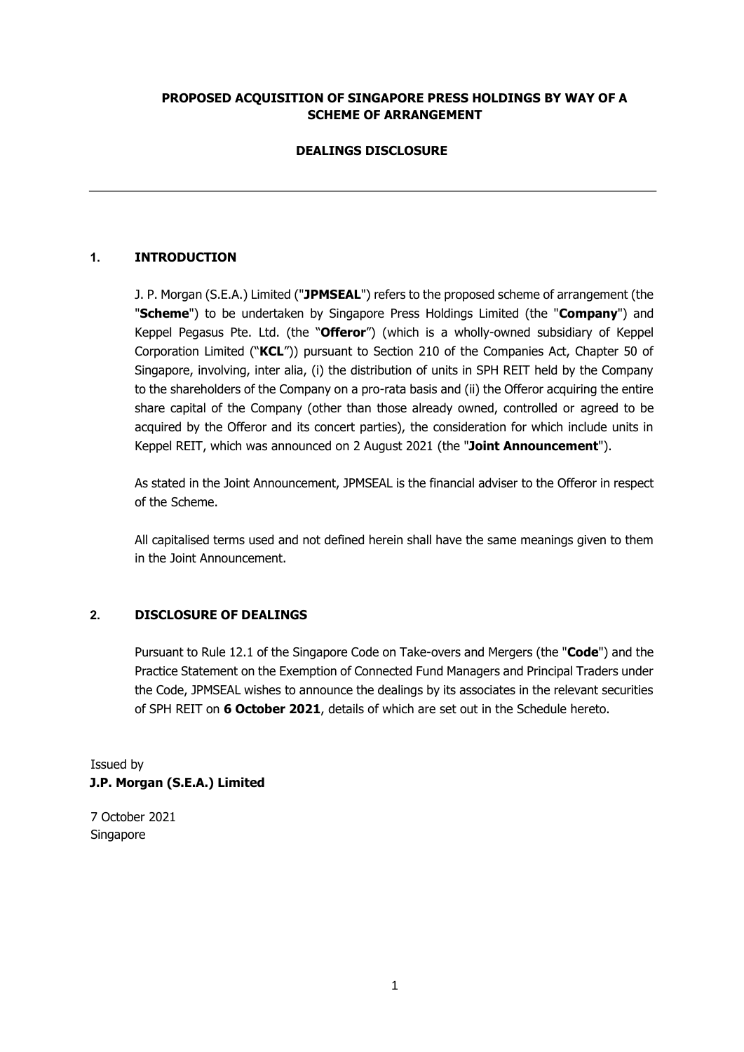### **PROPOSED ACQUISITION OF SINGAPORE PRESS HOLDINGS BY WAY OF A SCHEME OF ARRANGEMENT**

## **DEALINGS DISCLOSURE**

## **1. INTRODUCTION**

J. P. Morgan (S.E.A.) Limited ("**JPMSEAL**") refers to the proposed scheme of arrangement (the "**Scheme**") to be undertaken by Singapore Press Holdings Limited (the "**Company**") and Keppel Pegasus Pte. Ltd. (the "**Offeror**") (which is a wholly-owned subsidiary of Keppel Corporation Limited ("**KCL**")) pursuant to Section 210 of the Companies Act, Chapter 50 of Singapore, involving, inter alia, (i) the distribution of units in SPH REIT held by the Company to the shareholders of the Company on a pro-rata basis and (ii) the Offeror acquiring the entire share capital of the Company (other than those already owned, controlled or agreed to be acquired by the Offeror and its concert parties), the consideration for which include units in Keppel REIT, which was announced on 2 August 2021 (the "**Joint Announcement**").

As stated in the Joint Announcement, JPMSEAL is the financial adviser to the Offeror in respect of the Scheme.

All capitalised terms used and not defined herein shall have the same meanings given to them in the Joint Announcement.

### **2. DISCLOSURE OF DEALINGS**

Pursuant to Rule 12.1 of the Singapore Code on Take-overs and Mergers (the "**Code**") and the Practice Statement on the Exemption of Connected Fund Managers and Principal Traders under the Code, JPMSEAL wishes to announce the dealings by its associates in the relevant securities of SPH REIT on **6 October 2021**, details of which are set out in the Schedule hereto.

Issued by **J.P. Morgan (S.E.A.) Limited** 

7 October 2021 Singapore